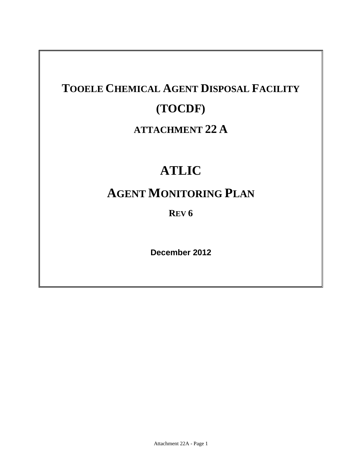# **TOOELE CHEMICAL AGENT DISPOSAL FACILITY (TOCDF) ATTACHMENT 22 A**

# **ATLIC**

# **AGENT MONITORING PLAN**

**REV 6**

**December 2012**

Attachment 22A - Page 1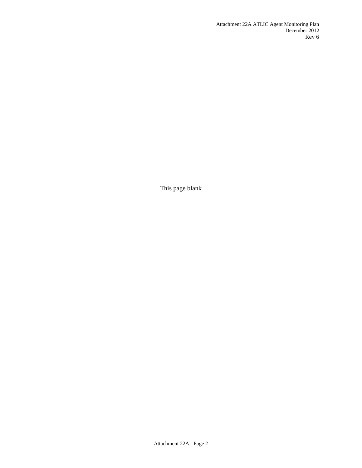This page blank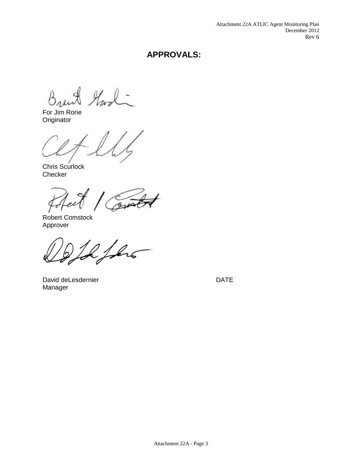# **APPROVALS:**

Brent Hard-

For Jim Rorie **Originator** 

Chris Scurlock **Checker** 

Robert Comstock Approver

ffre

David deLesdernier Manager

DATE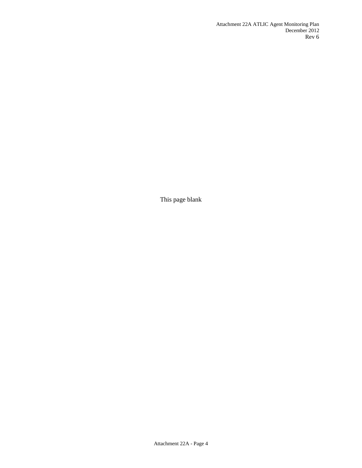This page blank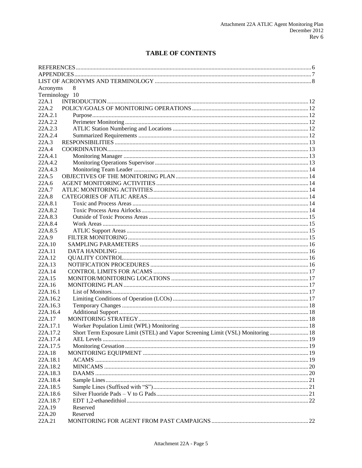# **TABLE OF CONTENTS**

| Acronyms<br>8           |                                                                                 |  |  |  |  |  |  |  |  |  |
|-------------------------|---------------------------------------------------------------------------------|--|--|--|--|--|--|--|--|--|
| Terminology 10<br>22A.1 |                                                                                 |  |  |  |  |  |  |  |  |  |
| 22A.2                   |                                                                                 |  |  |  |  |  |  |  |  |  |
|                         |                                                                                 |  |  |  |  |  |  |  |  |  |
| 22A.2.1                 |                                                                                 |  |  |  |  |  |  |  |  |  |
| 22A.2.2                 |                                                                                 |  |  |  |  |  |  |  |  |  |
| 22A.2.3                 |                                                                                 |  |  |  |  |  |  |  |  |  |
| 22A.2.4                 |                                                                                 |  |  |  |  |  |  |  |  |  |
| 22A.3                   |                                                                                 |  |  |  |  |  |  |  |  |  |
| 22A.4                   |                                                                                 |  |  |  |  |  |  |  |  |  |
| 22A.4.1                 |                                                                                 |  |  |  |  |  |  |  |  |  |
| 22A.4.2                 |                                                                                 |  |  |  |  |  |  |  |  |  |
| 22A.4.3                 |                                                                                 |  |  |  |  |  |  |  |  |  |
| 22A.5                   |                                                                                 |  |  |  |  |  |  |  |  |  |
| 22A.6                   |                                                                                 |  |  |  |  |  |  |  |  |  |
| 22A.7                   |                                                                                 |  |  |  |  |  |  |  |  |  |
| 22A.8                   |                                                                                 |  |  |  |  |  |  |  |  |  |
| 22A.8.1                 |                                                                                 |  |  |  |  |  |  |  |  |  |
| 22A.8.2                 |                                                                                 |  |  |  |  |  |  |  |  |  |
| 22A.8.3                 |                                                                                 |  |  |  |  |  |  |  |  |  |
| 22A.8.4                 |                                                                                 |  |  |  |  |  |  |  |  |  |
| 22A.8.5                 |                                                                                 |  |  |  |  |  |  |  |  |  |
| 22A.9                   |                                                                                 |  |  |  |  |  |  |  |  |  |
| 22A.10                  |                                                                                 |  |  |  |  |  |  |  |  |  |
| 22A.11                  |                                                                                 |  |  |  |  |  |  |  |  |  |
| 22A.12                  |                                                                                 |  |  |  |  |  |  |  |  |  |
| 22A.13                  |                                                                                 |  |  |  |  |  |  |  |  |  |
| 22A.14                  |                                                                                 |  |  |  |  |  |  |  |  |  |
| 22A.15                  |                                                                                 |  |  |  |  |  |  |  |  |  |
| 22A.16                  |                                                                                 |  |  |  |  |  |  |  |  |  |
| 22A.16.1                |                                                                                 |  |  |  |  |  |  |  |  |  |
| 22A.16.2                |                                                                                 |  |  |  |  |  |  |  |  |  |
| 22A.16.3                |                                                                                 |  |  |  |  |  |  |  |  |  |
| 22A.16.4                |                                                                                 |  |  |  |  |  |  |  |  |  |
| 22A.17                  |                                                                                 |  |  |  |  |  |  |  |  |  |
| 22A.17.1                |                                                                                 |  |  |  |  |  |  |  |  |  |
| 22A.17.2                | Short Term Exposure Limit (STEL) and Vapor Screening Limit (VSL) Monitoring  18 |  |  |  |  |  |  |  |  |  |
| 22A.17.4                |                                                                                 |  |  |  |  |  |  |  |  |  |
| 22A.17.5                |                                                                                 |  |  |  |  |  |  |  |  |  |
| 22A.18                  |                                                                                 |  |  |  |  |  |  |  |  |  |
| 22A.18.1                |                                                                                 |  |  |  |  |  |  |  |  |  |
| 22A.18.2                |                                                                                 |  |  |  |  |  |  |  |  |  |
| 22A.18.3                |                                                                                 |  |  |  |  |  |  |  |  |  |
| 22A.18.4                |                                                                                 |  |  |  |  |  |  |  |  |  |
| 22A.18.5                |                                                                                 |  |  |  |  |  |  |  |  |  |
| 22A.18.6                |                                                                                 |  |  |  |  |  |  |  |  |  |
| 22A.18.7                |                                                                                 |  |  |  |  |  |  |  |  |  |
| 22A.19                  | Reserved                                                                        |  |  |  |  |  |  |  |  |  |
| 22A.20                  | Reserved                                                                        |  |  |  |  |  |  |  |  |  |
| 22A.21                  |                                                                                 |  |  |  |  |  |  |  |  |  |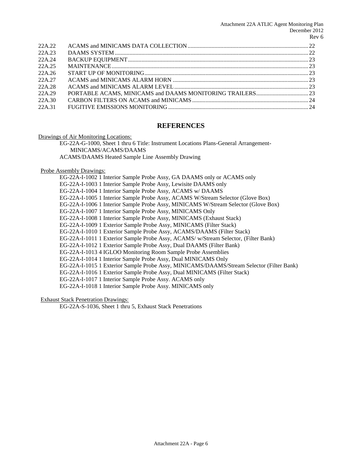| 22A.22 |  |
|--------|--|
| 22A.23 |  |
| 22A.24 |  |
| 22A.25 |  |
| 22A.26 |  |
| 22A.27 |  |
| 22A.28 |  |
| 22A.29 |  |
| 22A.30 |  |
| 22A.31 |  |
|        |  |

#### **REFERENCES**

Drawings of Air Monitoring Locations:

EG-22A-G-1000, Sheet 1 thru 6 Title: Instrument Locations Plans-General Arrangement-MINICAMS/ACAMS/DAAMS

ACAMS/DAAMS Heated Sample Line Assembly Drawing

#### Probe Assembly Drawings:

EG-22A-I-1002 1 Interior Sample Probe Assy, GA DAAMS only or ACAMS only EG-22A-I-1003 1 Interior Sample Probe Assy, Lewisite DAAMS only EG-22A-I-1004 1 Interior Sample Probe Assy, ACAMS w/ DAAMS EG-22A-I-1005 1 Interior Sample Probe Assy, ACAMS W/Stream Selector (Glove Box) EG-22A-I-1006 1 Interior Sample Probe Assy, MINICAMS W/Stream Selector (Glove Box) EG-22A-I-1007 1 Interior Sample Probe Assy, MINICAMS Only EG-22A-I-1008 1 Interior Sample Probe Assy, MINICAMS (Exhaust Stack) EG-22A-I-1009 1 Exterior Sample Probe Assy, MINICAMS (Filter Stack) EG-22A-I-1010 1 Exterior Sample Probe Assy, ACAMS/DAAMS (Filter Stack) EG-22A-I-1011 1 Exterior Sample Probe Assy, ACAMS/ w/Stream Selector, (Filter Bank) EG-22A-I-1012 1 Exterior Sample Probe Assy, Dual DAAMS (Filter Bank) EG-22A-I-1013 4 IGLOO Monitoring Room Sample Probe Assemblies EG-22A-I-1014 1 Interior Sample Probe Assy, Dual MINICAMS Only EG-22A-I-1015 1 Exterior Sample Probe Assy, MINICAMS/DAAMS/Stream Selector (Filter Bank) EG-22A-I-1016 1 Exterior Sample Probe Assy, Dual MINICAMS (Filter Stack) EG-22A-I-1017 1 Interior Sample Probe Assy. ACAMS only EG-22A-I-1018 1 Interior Sample Probe Assy. MINICAMS only

Exhaust Stack Penetration Drawings:

EG-22A-S-1036, Sheet 1 thru 5, Exhaust Stack Penetrations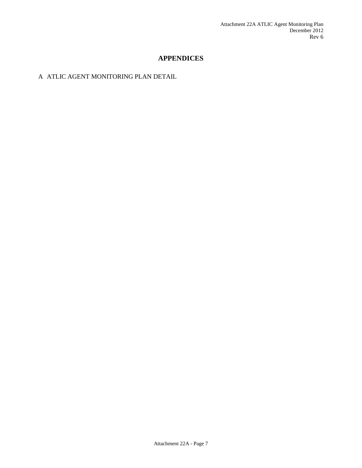## **APPENDICES**

# A ATLIC AGENT MONITORING PLAN DETAIL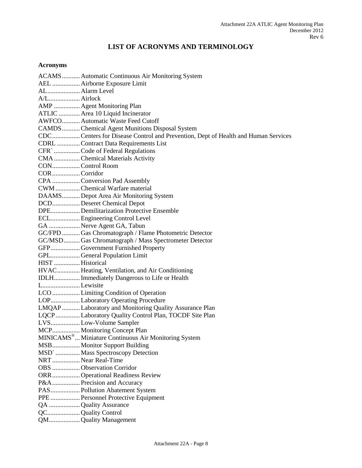# **LIST OF ACRONYMS AND TERMINOLOGY**

### **Acronyms**

|                  | ACAMS Automatic Continuous Air Monitoring System                                  |
|------------------|-----------------------------------------------------------------------------------|
|                  | AEL  Airborne Exposure Limit                                                      |
|                  | AL Alarm Level                                                                    |
| A/L Airlock      |                                                                                   |
|                  | AMP  Agent Monitoring Plan                                                        |
|                  | ATLIC  Area 10 Liquid Incinerator                                                 |
|                  | AWFCO Automatic Waste Feed Cutoff                                                 |
|                  | CAMDS  Chemical Agent Munitions Disposal System                                   |
|                  | CDC Centers for Disease Control and Prevention, Dept of Health and Human Services |
|                  | CDRL  Contract Data Requirements List                                             |
|                  | CFR` Code of Federal Regulations                                                  |
|                  | CMAChemical Materials Activity                                                    |
|                  | CONControl Room                                                                   |
| CORCorridor      |                                                                                   |
|                  | CPA Conversion Pad Assembly                                                       |
|                  | CWM  Chemical Warfare material                                                    |
|                  | DAAMSDepot Area Air Monitoring System                                             |
|                  | DCDDeseret Chemical Depot                                                         |
|                  | DPEDemilitarization Protective Ensemble                                           |
|                  | ECL Engineering Control Level                                                     |
|                  | GA  Nerve Agent GA, Tabun                                                         |
|                  | GC/FPD  Gas Chromatograph / Flame Photometric Detector                            |
|                  | GC/MSD Gas Chromatograph / Mass Spectrometer Detector                             |
|                  | GFP Government Furnished Property                                                 |
|                  | GPLGeneral Population Limit                                                       |
| HIST  Historical |                                                                                   |
|                  | HVAC Heating, Ventilation, and Air Conditioning                                   |
|                  | IDLH Immediately Dangerous to Life or Health                                      |
| LLewisite        |                                                                                   |
|                  | LCO  Limiting Condition of Operation                                              |
|                  | LOPLaboratory Operating Procedure                                                 |
|                  | LMQAP Laboratory and Monitoring Quality Assurance Plan                            |
|                  | LQCP Laboratory Quality Control Plan, TOCDF Site Plan                             |
|                  | LVSLow-Volume Sampler                                                             |
|                  | MCP Monitoring Concept Plan                                                       |
|                  | MINICAMS® Miniature Continuous Air Monitoring System                              |
|                  | MSB Monitor Support Building                                                      |
|                  | MSD`Mass Spectroscopy Detection                                                   |
|                  | NRT  Near Real-Time                                                               |
|                  | OBS  Observation Corridor                                                         |
|                  | ORR Operational Readiness Review                                                  |
|                  | P&A Precision and Accuracy                                                        |
|                  | PAS Pollution Abatement System                                                    |
|                  | PPE  Personnel Protective Equipment                                               |
|                  | QA Quality Assurance                                                              |
|                  | QCQuality Control                                                                 |
|                  | QMQuality Management                                                              |
|                  |                                                                                   |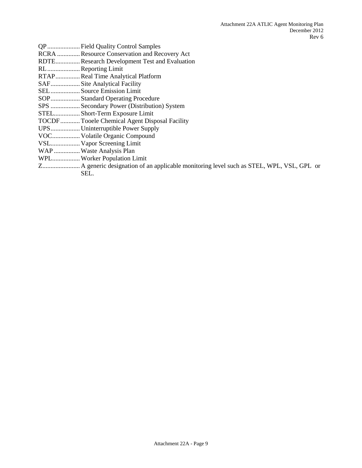| RCRA Resource Conservation and Recovery Act  |
|----------------------------------------------|
| RDTEResearch Development Test and Evaluation |
| RLReporting Limit                            |
| RTAPReal Time Analytical Platform            |
| SAFSite Analytical Facility                  |
| SELSource Emission Limit                     |
| SOPStandard Operating Procedure              |
| SPS  Secondary Power (Distribution) System   |
| STELShort-Term Exposure Limit                |
| TOCDFTooele Chemical Agent Disposal Facility |
| UPS Uninterruptible Power Supply             |
| VOC Volatile Organic Compound                |
| VSL Vapor Screening Limit                    |
| WAP  Waste Analysis Plan                     |
| WPL Worker Population Limit                  |
|                                              |
| SEL.                                         |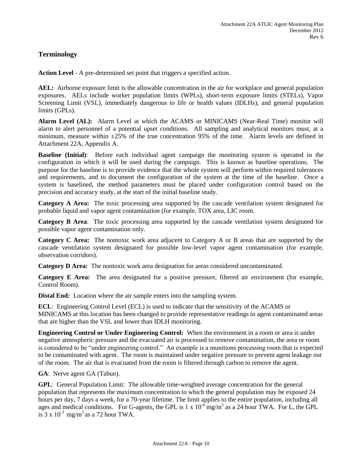## **Terminology**

**Action Level** - A pre-determined set point that triggers a specified action.

**AEL:** Airborne exposure limit is the allowable concentration in the air for workplace and general population exposures. AELs include worker population limits (WPLs), short-term exposure limits (STELs), Vapor Screening Limit (VSL), immediately dangerous to life or health values (IDLHs), and general population limits (GPLs).

**Alarm Level (AL):** Alarm Level at which the ACAMS or MINICAMS (Near-Real Time) monitor will alarm to alert personnel of a potential upset conditions. All sampling and analytical monitors must, at a minimum, measure within ±25% of the true concentration 95% of the time. Alarm levels are defined in Attachment 22A, Appendix A.

**Baseline (Initial)**: Before each individual agent campaign the monitoring system is operated in the configuration in which it will be used during the campaign. This is known as baseline operations. The purpose for the baseline is to provide evidence that the whole system will perform within required tolerances and requirements, and to document the configuration of the system at the time of the baseline. Once a system is baselined, the method parameters must be placed under configuration control based on the precision and accuracy study, at the start of the initial baseline study.

**Category A Area:** The toxic processing area supported by the cascade ventilation system designated for probable liquid and vapor agent contamination (for example, TOX area, LIC room.

**Category B Area**: The toxic processing area supported by the cascade ventilation system designated for possible vapor agent contamination only.

**Category C Area:** The nontoxic work area adjacent to Category A or B areas that are supported by the cascade ventilation system designated for possible low-level vapor agent contamination (for example, observation corridors).

**Category D Area:** The nontoxic work area designation for areas considered uncontaminated.

**Category E Area:** The area designated for a positive pressure, filtered air environment (for example, Control Room).

**Distal End:** Location where the air sample enters into the sampling system.

**ECL**: Engineering Control Level (ECL) is used to indicate that the sensitivity of the ACAMS or MINICAMS at this location has been changed to provide representative readings in agent contaminated areas that are higher than the VSL and lower than IDLH monitoring.

**Engineering Control or Under Engineering Control:** When the environment in a room or area is under negative atmospheric pressure and the evacuated air is processed to remove contamination, the area or room is considered to be "under engineering control." An example is a munitions processing room that is expected to be contaminated with agent. The room is maintained under negative pressure to prevent agent leakage out of the room. The air that is evacuated from the room is filtered through carbon to remove the agent.

**GA**: Nerve agent GA (Tabun).

**GPL**: General Population Limit: The allowable time-weighted average concentration for the general population that represents the maximum concentration to which the general population may be exposed 24 hours per day, 7 days a week, for a 70-year lifetime. The limit applies to the entire population, including all ages and medical conditions. For G-agents, the GPL is  $1 \times 10^{-6}$  mg/m<sup>3</sup> as a 24 hour TWA. For L, the GPL is  $3 \times 10^{-3}$  mg/m<sup>3</sup> as a 72 hour TWA.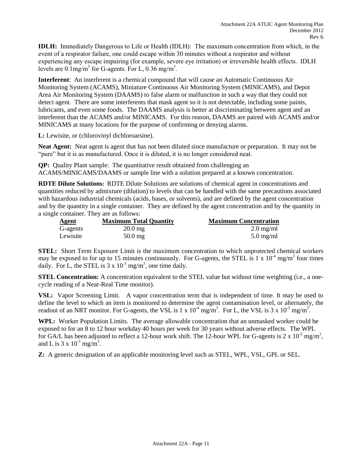**IDLH:** Immediately Dangerous to Life or Health (IDLH): The maximum concentration from which, in the event of a respirator failure, one could escape within 30 minutes without a respirator and without experiencing any escape impairing (for example, severe eye irritation) or irreversible health effects. IDLH levels are  $0.1$ mg/m<sup>3</sup> for G-agents. For L,  $0.36$  mg/m<sup>3</sup>.

**Interferent**: An interferent is a chemical compound that will cause an Automatic Continuous Air Monitoring System (ACAMS), Miniature Continuous Air Monitoring System (MINICAMS), and Depot Area Air Monitoring System (DAAMS) to false alarm or malfunction in such a way that they could not detect agent. There are some interferents that mask agent so it is not detectable, including some paints, lubricants, and even some foods. The DAAMS analysis is better at discriminating between agent and an interferent than the ACAMS and/or MINICAMS. For this reason, DAAMS are paired with ACAMS and/or MINICAMS at many locations for the purpose of confirming or denying alarms.

**L:** Lewisite, or (chlorovinyl dichloroarsine).

**Neat Agent:** Neat agent is agent that has not been diluted since manufacture or preparation. It may not be "pure" but it is as manufactured. Once it is diluted, it is no longer considered neat.

**QP:** Quality Plant sample: The quantitative result obtained from challenging an ACAMS/MINICAMS/DAAMS or sample line with a solution prepared at a known concentration.

**RDTE Dilute Solutions:** RDTE Dilute Solutions are solutions of chemical agent in concentrations and quantities reduced by admixture (dilution) to levels that can be handled with the same precautions associated with hazardous industrial chemicals (acids, bases, or solvents), and are defined by the agent concentration and by the quantity in a single container. They are defined by the agent concentration and by the quantity in a single container. They are as follows:

| <b>Agent</b> | <b>Maximum Total Quantity</b> | <b>Maximum Concentration</b> |
|--------------|-------------------------------|------------------------------|
| G-agents     | $20.0 \text{ mg}$             | $2.0 \text{ mg/ml}$          |
| Lewisite     | $50.0$ mg                     | $5.0 \text{ mg/ml}$          |

**STEL:** Short Term Exposure Limit is the maximum concentration to which unprotected chemical workers may be exposed to for up to 15 minutes continuously. For G-agents, the STEL is 1 x  $10^{-4}$  mg/m<sup>3</sup> four times daily. For L, the STEL is  $3 \times 10^{-3}$  mg/m<sup>3</sup>, one time daily.

**STEL Concentration:** A concentration equivalent to the STEL value but without time weighting (i.e., a onecycle reading of a Near-Real Time monitor).

**VSL:** Vapor Screening Limit. A vapor concentration term that is independent of time. It may be used to define the level to which an item is monitored to determine the agent contamination level, or alternately, the readout of an NRT monitor. For G-agents, the VSL is 1 x  $10^4$  mg/m<sup>3</sup>. For L, the VSL is 3 x  $10^{-3}$  mg/m<sup>3</sup>.

**WPL:** Worker Population Limits. The average allowable concentration that an unmasked worker could be exposed to for an 8 to 12 hour workday 40 hours per week for 30 years without adverse effects. The WPL for GA/L has been adjusted to reflect a 12-hour work shift. The 12-hour WPL for G-agents is 2 x  $10^{-5}$  mg/m<sup>3</sup>, and L is  $3 \times 10^{-3}$  mg/m<sup>3</sup>.

**Z:** A generic designation of an applicable monitoring level such as STEL, WPL, VSL, GPL or SEL.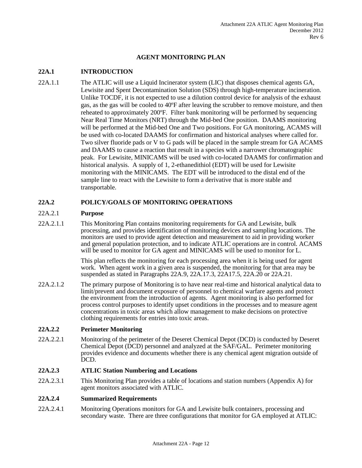#### **AGENT MONITORING PLAN**

#### **22A.1 INTRODUCTION**

22A.1.1 The ATLIC will use a Liquid Incinerator system (LIC) that disposes chemical agents GA, Lewisite and Spent Decontamination Solution (SDS) through high-temperature incineration. Unlike TOCDF, it is not expected to use a dilution control device for analysis of the exhaust gas, as the gas will be cooled to 40ºF after leaving the scrubber to remove moisture, and then reheated to approximately 200ºF. Filter bank monitoring will be performed by sequencing Near Real Time Monitors (NRT) through the Mid-bed One position. DAAMS monitoring will be performed at the Mid-bed One and Two positions. For GA monitoring, ACAMS will be used with co-located DAAMS for confirmation and historical analyses where called for. Two silver fluoride pads or V to G pads will be placed in the sample stream for GA ACAMS and DAAMS to cause a reaction that result in a species with a narrower chromatographic peak. For Lewisite, MINICAMS will be used with co-located DAAMS for confirmation and historical analysis. A supply of 1, 2-ethanedithiol (EDT) will be used for Lewisite monitoring with the MINICAMS. The EDT will be introduced to the distal end of the sample line to react with the Lewisite to form a derivative that is more stable and transportable.

#### **22A.2 POLICY/GOALS OF MONITORING OPERATIONS**

#### 22A.2.1 **Purpose**

22A.2.1.1 This Monitoring Plan contains monitoring requirements for GA and Lewisite, bulk processing, and provides identification of monitoring devices and sampling locations. The monitors are used to provide agent detection and measurement to aid in providing worker and general population protection, and to indicate ATLIC operations are in control. ACAMS will be used to monitor for GA agent and MINICAMS will be used to monitor for L.

> This plan reflects the monitoring for each processing area when it is being used for agent work. When agent work in a given area is suspended, the monitoring for that area may be suspended as stated in Paragraphs 22A.9, 22A.17.3, 22A17.5, 22A.20 or 22A.21.

22A.2.1.2 The primary purpose of Monitoring is to have near real-time and historical analytical data to limit/prevent and document exposure of personnel to chemical warfare agents and protect the environment from the introduction of agents. Agent monitoring is also performed for process control purposes to identify upset conditions in the processes and to measure agent concentrations in toxic areas which allow management to make decisions on protective clothing requirements for entries into toxic areas.

#### **22A.2.2 Perimeter Monitoring**

22A.2.2.1 Monitoring of the perimeter of the Deseret Chemical Depot (DCD) is conducted by Deseret Chemical Depot (DCD) personnel and analyzed at the SAF/GAL. Perimeter monitoring provides evidence and documents whether there is any chemical agent migration outside of DCD.

#### **22A.2.3 ATLIC Station Numbering and Locations**

22A.2.3.1 This Monitoring Plan provides a table of locations and station numbers (Appendix A) for agent monitors associated with ATLIC.

#### **22A.2.4 Summarized Requirements**

22A.2.4.1 Monitoring Operations monitors for GA and Lewisite bulk containers, processing and secondary waste. There are three configurations that monitor for GA employed at ATLIC: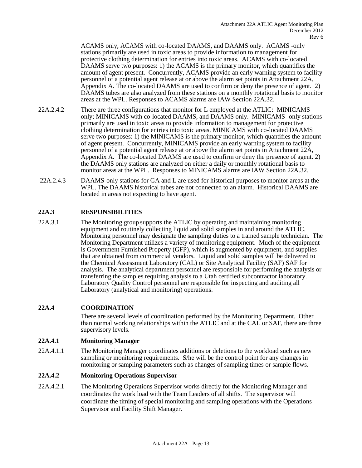ACAMS only, ACAMS with co-located DAAMS, and DAAMS only. ACAMS -only stations primarily are used in toxic areas to provide information to management for protective clothing determination for entries into toxic areas. ACAMS with co-located DAAMS serve two purposes: 1) the ACAMS is the primary monitor, which quantifies the amount of agent present. Concurrently, ACAMS provide an early warning system to facility personnel of a potential agent release at or above the alarm set points in Attachment 22A, Appendix A. The co-located DAAMS are used to confirm or deny the presence of agent. 2) DAAMS tubes are also analyzed from these stations on a monthly rotational basis to monitor areas at the WPL. Responses to ACAMS alarms are IAW Section 22A.32.

- 22A.2.4.2 There are three configurations that monitor for L employed at the ATLIC: MINICAMS only; MINICAMS with co-located DAAMS, and DAAMS only. MINICAMS -only stations primarily are used in toxic areas to provide information to management for protective clothing determination for entries into toxic areas. MINICAMS with co-located DAAMS serve two purposes: 1) the MINICAMS is the primary monitor, which quantifies the amount of agent present. Concurrently, MINICAMS provide an early warning system to facility personnel of a potential agent release at or above the alarm set points in Attachment 22A, Appendix A. The co-located DAAMS are used to confirm or deny the presence of agent. 2) the DAAMS only stations are analyzed on either a daily or monthly rotational basis to monitor areas at the WPL. Responses to MINICAMS alarms are IAW Section 22A.32.
- 22A.2.4.3 DAAMS-only stations for GA and L are used for historical purposes to monitor areas at the WPL. The DAAMS historical tubes are not connected to an alarm. Historical DAAMS are located in areas not expecting to have agent.

#### **22A.3 RESPONSIBILITIES**

22A.3.1 The Monitoring group supports the ATLIC by operating and maintaining monitoring equipment and routinely collecting liquid and solid samples in and around the ATLIC. Monitoring personnel may designate the sampling duties to a trained sample technician. The Monitoring Department utilizes a variety of monitoring equipment. Much of the equipment is Government Furnished Property (GFP), which is augmented by equipment, and supplies that are obtained from commercial vendors. Liquid and solid samples will be delivered to the Chemical Assessment Laboratory (CAL) or Site Analytical Facility (SAF) SAF for analysis. The analytical department personnel are responsible for performing the analysis or transferring the samples requiring analysis to a Utah certified subcontractor laboratory. Laboratory Quality Control personnel are responsible for inspecting and auditing all Laboratory (analytical and monitoring) operations.

#### **22A.4 COORDINATION**

There are several levels of coordination performed by the Monitoring Department. Other than normal working relationships within the ATLIC and at the CAL or SAF, there are three supervisory levels.

#### **22A.4.1 Monitoring Manager**

22A.4.1.1 The Monitoring Manager coordinates additions or deletions to the workload such as new sampling or monitoring requirements. S/he will be the control point for any changes in monitoring or sampling parameters such as changes of sampling times or sample flows.

#### **22A.4.2 Monitoring Operations Supervisor**

22A.4.2.1 The Monitoring Operations Supervisor works directly for the Monitoring Manager and coordinates the work load with the Team Leaders of all shifts. The supervisor will coordinate the timing of special monitoring and sampling operations with the Operations Supervisor and Facility Shift Manager.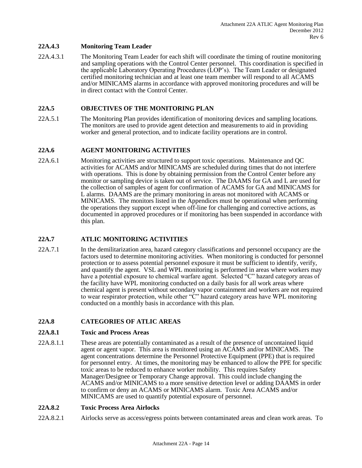#### **22A.4.3 Monitoring Team Leader**

22A.4.3.1 The Monitoring Team Leader for each shift will coordinate the timing of routine monitoring and sampling operations with the Control Center personnel. This coordination is specified in the applicable Laboratory Operating Procedures (LOP's). The Team Leader or designated certified monitoring technician and at least one team member will respond to all ACAMS and/or MINICAMS alarms in accordance with approved monitoring procedures and will be in direct contact with the Control Center.

#### **22A.5 OBJECTIVES OF THE MONITORING PLAN**

22A.5.1 The Monitoring Plan provides identification of monitoring devices and sampling locations. The monitors are used to provide agent detection and measurements to aid in providing worker and general protection, and to indicate facility operations are in control.

#### **22A.6 AGENT MONITORING ACTIVITIES**

22A.6.1 Monitoring activities are structured to support toxic operations. Maintenance and QC activities for ACAMS and/or MINICAMS are scheduled during times that do not interfere with operations. This is done by obtaining permission from the Control Center before any monitor or sampling device is taken out of service. The DAAMS for GA and L are used for the collection of samples of agent for confirmation of ACAMS for GA and MINICAMS for L alarms. DAAMS are the primary monitoring in areas not monitored with ACAMS or MINICAMS. The monitors listed in the Appendices must be operational when performing the operations they support except when off-line for challenging and corrective actions, as documented in approved procedures or if monitoring has been suspended in accordance with this plan.

#### **22A.7 ATLIC MONITORING ACTIVITIES**

22A.7.1 In the demilitarization area, hazard category classifications and personnel occupancy are the factors used to determine monitoring activities. When monitoring is conducted for personnel protection or to assess potential personnel exposure it must be sufficient to identify, verify, and quantify the agent. VSL and WPL monitoring is performed in areas where workers may have a potential exposure to chemical warfare agent. Selected "C" hazard category areas of the facility have WPL monitoring conducted on a daily basis for all work areas where chemical agent is present without secondary vapor containment and workers are not required to wear respirator protection, while other "C" hazard category areas have WPL monitoring conducted on a monthly basis in accordance with this plan.

#### **22A.8 CATEGORIES OF ATLIC AREAS**

#### **22A.8.1 Toxic and Process Areas**

22A.8.1.1 These areas are potentially contaminated as a result of the presence of uncontained liquid agent or agent vapor. This area is monitored using an ACAMS and/or MINICAMS. The agent concentrations determine the Personnel Protective Equipment (PPE) that is required for personnel entry. At times, the monitoring may be enhanced to allow the PPE for specific toxic areas to be reduced to enhance worker mobility. This requires Safety Manager/Designee or Temporary Change approval. This could include changing the ACAMS and/or MINICAMS to a more sensitive detection level or adding DAAMS in order to confirm or deny an ACAMS or MINICAMS alarm. Toxic Area ACAMS and/or MINICAMS are used to quantify potential exposure of personnel.

#### **22A.8.2 Toxic Process Area Airlocks**

22A.8.2.1 Airlocks serve as access/egress points between contaminated areas and clean work areas. To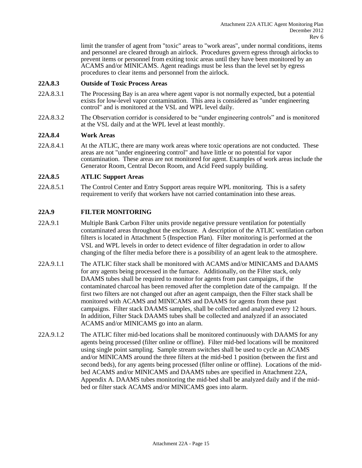limit the transfer of agent from "toxic" areas to "work areas", under normal conditions, items and personnel are cleared through an airlock. Procedures govern egress through airlocks to prevent items or personnel from exiting toxic areas until they have been monitored by an ACAMS and/or MINICAMS. Agent readings must be less than the level set by egress procedures to clear items and personnel from the airlock.

#### **22A.8.3 Outside of Toxic Process Areas**

- 22A.8.3.1 The Processing Bay is an area where agent vapor is not normally expected, but a potential exists for low-level vapor contamination. This area is considered as "under engineering control" and is monitored at the VSL and WPL level daily.
- 22A.8.3.2 The Observation corridor is considered to be "under engineering controls" and is monitored at the VSL daily and at the WPL level at least monthly.

#### **22A.8.4 Work Areas**

22A.8.4.1 At the ATLIC, there are many work areas where toxic operations are not conducted. These areas are not "under engineering control" and have little or no potential for vapor contamination. These areas are not monitored for agent. Examples of work areas include the Generator Room, Central Decon Room, and Acid Feed supply building.

#### **22A.8.5 ATLIC Support Areas**

22A.8.5.1 The Control Center and Entry Support areas require WPL monitoring. This is a safety requirement to verify that workers have not carried contamination into these areas.

#### **22A.9 FILTER MONITORING**

- 22A.9.1 Multiple Bank Carbon Filter units provide negative pressure ventilation for potentially contaminated areas throughout the enclosure. A description of the ATLIC ventilation carbon filters is located in Attachment 5 (Inspection Plan). Filter monitoring is performed at the VSL and WPL levels in order to detect evidence of filter degradation in order to allow changing of the filter media before there is a possibility of an agent leak to the atmosphere.
- 22A.9.1.1 The ATLIC filter stack shall be monitored with ACAMS and/or MINICAMS and DAAMS for any agents being processed in the furnace. Additionally, on the Filter stack, only DAAMS tubes shall be required to monitor for agents from past campaigns, if the contaminated charcoal has been removed after the completion date of the campaign. If the first two filters are not changed out after an agent campaign, then the Filter stack shall be monitored with ACAMS and MINICAMS and DAAMS for agents from these past campaigns. Filter stack DAAMS samples, shall be collected and analyzed every 12 hours. In addition, Filter Stack DAAMS tubes shall be collected and analyzed if an associated ACAMS and/or MINICAMS go into an alarm.
- 22A.9.1.2 The ATLIC filter mid-bed locations shall be monitored continuously with DAAMS for any agents being processed (filter online or offline). Filter mid-bed locations will be monitored using single point sampling. Sample stream switches shall be used to cycle an ACAMS and/or MINICAMS around the three filters at the mid-bed 1 position (between the first and second beds), for any agents being processed (filter online or offline). Locations of the midbed ACAMS and/or MINICAMS and DAAMS tubes are specified in Attachment 22A, Appendix A. DAAMS tubes monitoring the mid-bed shall be analyzed daily and if the midbed or filter stack ACAMS and/or MINICAMS goes into alarm.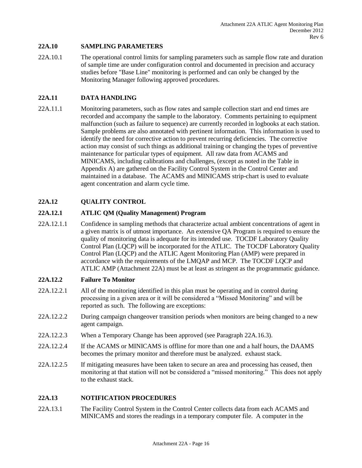#### **22A.10 SAMPLING PARAMETERS**

22A.10.1 The operational control limits for sampling parameters such as sample flow rate and duration of sample time are under configuration control and documented in precision and accuracy studies before "Base Line" monitoring is performed and can only be changed by the Monitoring Manager following approved procedures.

#### **22A.11 DATA HANDLING**

22A.11.1 Monitoring parameters, such as flow rates and sample collection start and end times are recorded and accompany the sample to the laboratory. Comments pertaining to equipment malfunction (such as failure to sequence) are currently recorded in logbooks at each station. Sample problems are also annotated with pertinent information. This information is used to identify the need for corrective action to prevent recurring deficiencies. The corrective action may consist of such things as additional training or changing the types of preventive maintenance for particular types of equipment. All raw data from ACAMS and MINICAMS, including calibrations and challenges, (except as noted in the Table in Appendix A) are gathered on the Facility Control System in the Control Center and maintained in a database. The ACAMS and MINICAMS strip-chart is used to evaluate agent concentration and alarm cycle time.

#### **22A.12 QUALITY CONTROL**

#### **22A.12.1 ATLIC QM (Quality Management) Program**

22A.12.1.1 Confidence in sampling methods that characterize actual ambient concentrations of agent in a given matrix is of utmost importance. An extensive QA Program is required to ensure the quality of monitoring data is adequate for its intended use. TOCDF Laboratory Quality Control Plan (LQCP) will be incorporated for the ATLIC. The TOCDF Laboratory Quality Control Plan (LQCP) and the ATLIC Agent Monitoring Plan (AMP) were prepared in accordance with the requirements of the LMQAP and MCP. The TOCDF LQCP and ATLIC AMP (Attachment 22A) must be at least as stringent as the programmatic guidance.

#### **22A.12.2 Failure To Monitor**

- 22A.12.2.1 All of the monitoring identified in this plan must be operating and in control during processing in a given area or it will be considered a "Missed Monitoring" and will be reported as such. The following are exceptions:
- 22A.12.2.2 During campaign changeover transition periods when monitors are being changed to a new agent campaign.
- 22A.12.2.3 When a Temporary Change has been approved (see Paragraph 22A.16.3).
- 22A.12.2.4 If the ACAMS or MINICAMS is offline for more than one and a half hours, the DAAMS becomes the primary monitor and therefore must be analyzed. exhaust stack.
- 22A.12.2.5 If mitigating measures have been taken to secure an area and processing has ceased, then monitoring at that station will not be considered a "missed monitoring." This does not apply to the exhaust stack.

#### **22A.13 NOTIFICATION PROCEDURES**

22A.13.1 The Facility Control System in the Control Center collects data from each ACAMS and MINICAMS and stores the readings in a temporary computer file. A computer in the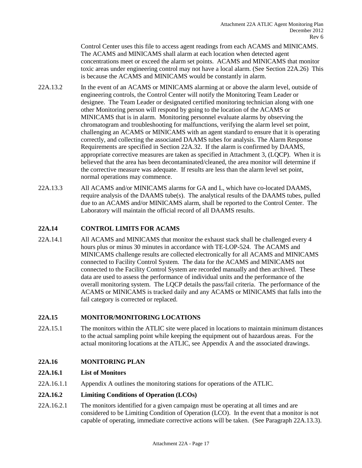Control Center uses this file to access agent readings from each ACAMS and MINICAMS. The ACAMS and MINICAMS shall alarm at each location when detected agent concentrations meet or exceed the alarm set points. ACAMS and MINICAMS that monitor toxic areas under engineering control may not have a local alarm. (See Section 22A.26) This is because the ACAMS and MINICAMS would be constantly in alarm.

- 22A.13.2 In the event of an ACAMS or MINICAMS alarming at or above the alarm level, outside of engineering controls, the Control Center will notify the Monitoring Team Leader or designee. The Team Leader or designated certified monitoring technician along with one other Monitoring person will respond by going to the location of the ACAMS or MINICAMS that is in alarm. Monitoring personnel evaluate alarms by observing the chromatogram and troubleshooting for malfunctions, verifying the alarm level set point, challenging an ACAMS or MINICAMS with an agent standard to ensure that it is operating correctly, and collecting the associated DAAMS tubes for analysis. The Alarm Response Requirements are specified in Section 22A.32. If the alarm is confirmed by DAAMS, appropriate corrective measures are taken as specified in Attachment 3, (LQCP). When it is believed that the area has been decontaminated/cleaned, the area monitor will determine if the corrective measure was adequate. If results are less than the alarm level set point, normal operations may commence.
- 22A.13.3 All ACAMS and/or MINICAMS alarms for GA and L, which have co-located DAAMS, require analysis of the DAAMS tube(s). The analytical results of the DAAMS tubes, pulled due to an ACAMS and/or MINICAMS alarm, shall be reported to the Control Center. The Laboratory will maintain the official record of all DAAMS results.

#### **22A.14 CONTROL LIMITS FOR ACAMS**

22A.14.1 All ACAMS and MINICAMS that monitor the exhaust stack shall be challenged every 4 hours plus or minus 30 minutes in accordance with TE-LOP-524. The ACAMS and MINICAMS challenge results are collected electronically for all ACAMS and MINICAMS connected to Facility Control System. The data for the ACAMS and MINICAMS not connected to the Facility Control System are recorded manually and then archived. These data are used to assess the performance of individual units and the performance of the overall monitoring system. The LQCP details the pass/fail criteria. The performance of the ACAMS or MINICAMS is tracked daily and any ACAMS or MINICAMS that falls into the fail category is corrected or replaced.

#### **22A.15 MONITOR/MONITORING LOCATIONS**

22A.15.1 The monitors within the ATLIC site were placed in locations to maintain minimum distances to the actual sampling point while keeping the equipment out of hazardous areas. For the actual monitoring locations at the ATLIC, see Appendix A and the associated drawings.

#### **22A.16 MONITORING PLAN**

#### **22A.16.1 List of Monitors**

22A.16.1.1 Appendix A outlines the monitoring stations for operations of the ATLIC.

#### **22A.16.2 Limiting Conditions of Operation (LCOs)**

22A.16.2.1 The monitors identified for a given campaign must be operating at all times and are considered to be Limiting Condition of Operation (LCO). In the event that a monitor is not capable of operating, immediate corrective actions will be taken. (See Paragraph 22A.13.3).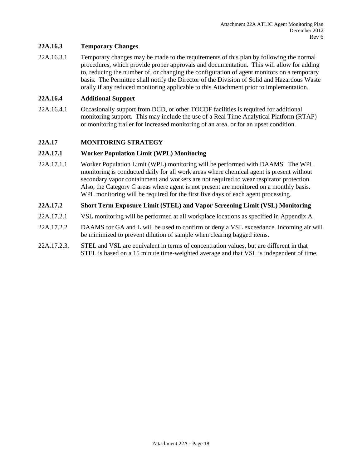#### **22A.16.3 Temporary Changes**

22A.16.3.1 Temporary changes may be made to the requirements of this plan by following the normal procedures, which provide proper approvals and documentation. This will allow for adding to, reducing the number of, or changing the configuration of agent monitors on a temporary basis. The Permittee shall notify the Director of the Division of Solid and Hazardous Waste orally if any reduced monitoring applicable to this Attachment prior to implementation.

#### **22A.16.4 Additional Support**

22A.16.4.1 Occasionally support from DCD, or other TOCDF facilities is required for additional monitoring support. This may include the use of a Real Time Analytical Platform (RTAP) or monitoring trailer for increased monitoring of an area, or for an upset condition.

#### **22A.17 MONITORING STRATEGY**

#### **22A.17.1 Worker Population Limit (WPL) Monitoring**

22A.17.1.1 Worker Population Limit (WPL) monitoring will be performed with DAAMS. The WPL monitoring is conducted daily for all work areas where chemical agent is present without secondary vapor containment and workers are not required to wear respirator protection. Also, the Category C areas where agent is not present are monitored on a monthly basis. WPL monitoring will be required for the first five days of each agent processing.

#### **22A.17.2 Short Term Exposure Limit (STEL) and Vapor Screening Limit (VSL) Monitoring**

- 22A.17.2.1 VSL monitoring will be performed at all workplace locations as specified in Appendix A
- 22A.17.2.2 DAAMS for GA and L will be used to confirm or deny a VSL exceedance. Incoming air will be minimized to prevent dilution of sample when clearing bagged items.
- 22A.17.2.3. STEL and VSL are equivalent in terms of concentration values, but are different in that STEL is based on a 15 minute time-weighted average and that VSL is independent of time.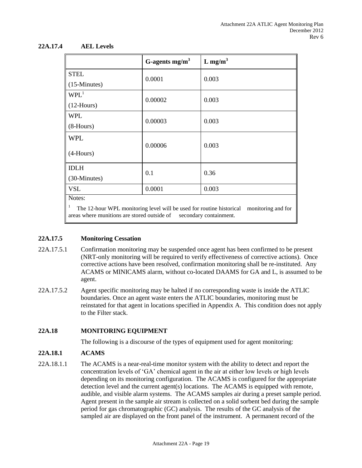|                                                                                                                                                                     | G-agents $mg/m3$ | $L$ mg/m <sup>3</sup> |  |  |  |  |  |  |
|---------------------------------------------------------------------------------------------------------------------------------------------------------------------|------------------|-----------------------|--|--|--|--|--|--|
| <b>STEL</b>                                                                                                                                                         |                  |                       |  |  |  |  |  |  |
| $(15-Minutes)$                                                                                                                                                      | 0.0001           | 0.003                 |  |  |  |  |  |  |
| WPL <sup>1</sup>                                                                                                                                                    | 0.00002          |                       |  |  |  |  |  |  |
| $(12-Hours)$                                                                                                                                                        |                  | 0.003                 |  |  |  |  |  |  |
| <b>WPL</b>                                                                                                                                                          |                  |                       |  |  |  |  |  |  |
| $(8-Hours)$                                                                                                                                                         | 0.00003          | 0.003                 |  |  |  |  |  |  |
| <b>WPL</b>                                                                                                                                                          |                  | 0.003                 |  |  |  |  |  |  |
| $(4-Hours)$                                                                                                                                                         | 0.00006          |                       |  |  |  |  |  |  |
| <b>IDLH</b>                                                                                                                                                         | 0.1              | 0.36                  |  |  |  |  |  |  |
| (30-Minutes)                                                                                                                                                        |                  |                       |  |  |  |  |  |  |
| <b>VSL</b>                                                                                                                                                          | 0.0001           | 0.003                 |  |  |  |  |  |  |
| Notes:                                                                                                                                                              |                  |                       |  |  |  |  |  |  |
| The 12-hour WPL monitoring level will be used for routine historical<br>monitoring and for<br>areas where munitions are stored outside of<br>secondary containment. |                  |                       |  |  |  |  |  |  |

#### **22A.17.4 AEL Levels**

#### **22A.17.5 Monitoring Cessation**

- 22A.17.5.1 Confirmation monitoring may be suspended once agent has been confirmed to be present (NRT-only monitoring will be required to verify effectiveness of corrective actions). Once corrective actions have been resolved, confirmation monitoring shall be re-instituted. Any ACAMS or MINICAMS alarm, without co-located DAAMS for GA and L, is assumed to be agent.
- 22A.17.5.2 Agent specific monitoring may be halted if no corresponding waste is inside the ATLIC boundaries. Once an agent waste enters the ATLIC boundaries, monitoring must be reinstated for that agent in locations specified in Appendix A. This condition does not apply to the Filter stack.

#### **22A.18 MONITORING EQUIPMENT**

The following is a discourse of the types of equipment used for agent monitoring:

#### **22A.18.1 ACAMS**

22A.18.1.1 The ACAMS is a near-real-time monitor system with the ability to detect and report the concentration levels of 'GA' chemical agent in the air at either low levels or high levels depending on its monitoring configuration. The ACAMS is configured for the appropriate detection level and the current agent(s) locations. The ACAMS is equipped with remote, audible, and visible alarm systems. The ACAMS samples air during a preset sample period. Agent present in the sample air stream is collected on a solid sorbent bed during the sample period for gas chromatographic (GC) analysis. The results of the GC analysis of the sampled air are displayed on the front panel of the instrument. A permanent record of the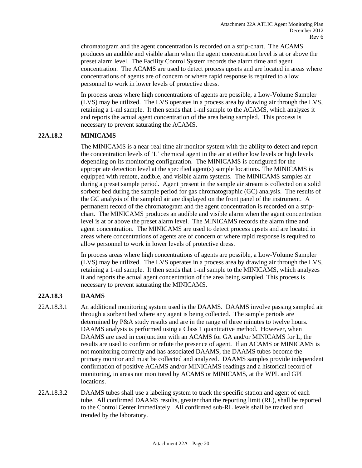chromatogram and the agent concentration is recorded on a strip-chart. The ACAMS produces an audible and visible alarm when the agent concentration level is at or above the preset alarm level. The Facility Control System records the alarm time and agent concentration. The ACAMS are used to detect process upsets and are located in areas where concentrations of agents are of concern or where rapid response is required to allow personnel to work in lower levels of protective dress.

In process areas where high concentrations of agents are possible, a Low-Volume Sampler (LVS) may be utilized. The LVS operates in a process area by drawing air through the LVS, retaining a 1-ml sample. It then sends that 1-ml sample to the ACAMS, which analyzes it and reports the actual agent concentration of the area being sampled. This process is necessary to prevent saturating the ACAMS.

#### **22A.18.2 MINICAMS**

The MINICAMS is a near-real time air monitor system with the ability to detect and report the concentration levels of 'L' chemical agent in the air at either low levels or high levels depending on its monitoring configuration. The MINICAMS is configured for the appropriate detection level at the specified agent(s) sample locations. The MINICAMS is equipped with remote, audible, and visible alarm systems. The MINICAMS samples air during a preset sample period. Agent present in the sample air stream is collected on a solid sorbent bed during the sample period for gas chromatographic (GC) analysis. The results of the GC analysis of the sampled air are displayed on the front panel of the instrument. A permanent record of the chromatogram and the agent concentration is recorded on a stripchart. The MINICAMS produces an audible and visible alarm when the agent concentration level is at or above the preset alarm level. The MINICAMS records the alarm time and agent concentration. The MINICAMS are used to detect process upsets and are located in areas where concentrations of agents are of concern or where rapid response is required to allow personnel to work in lower levels of protective dress.

In process areas where high concentrations of agents are possible, a Low-Volume Sampler (LVS) may be utilized. The LVS operates in a process area by drawing air through the LVS, retaining a 1-ml sample. It then sends that 1-ml sample to the MINICAMS, which analyzes it and reports the actual agent concentration of the area being sampled. This process is necessary to prevent saturating the MINICAMS.

#### **22A.18.3 DAAMS**

- 22A.18.3.1 An additional monitoring system used is the DAAMS. DAAMS involve passing sampled air through a sorbent bed where any agent is being collected. The sample periods are determined by P&A study results and are in the range of three minutes to twelve hours. DAAMS analysis is performed using a Class 1 quantitative method. However, when DAAMS are used in conjunction with an ACAMS for GA and/or MINICAMS for L, the results are used to confirm or refute the presence of agent. If an ACAMS or MINICAMS is not monitoring correctly and has associated DAAMS, the DAAMS tubes become the primary monitor and must be collected and analyzed. DAAMS samples provide independent confirmation of positive ACAMS and/or MINICAMS readings and a historical record of monitoring, in areas not monitored by ACAMS or MINICAMS, at the WPL and GPL locations.
- 22A.18.3.2 DAAMS tubes shall use a labeling system to track the specific station and agent of each tube. All confirmed DAAMS results, greater than the reporting limit (RL), shall be reported to the Control Center immediately. All confirmed sub-RL levels shall be tracked and trended by the laboratory.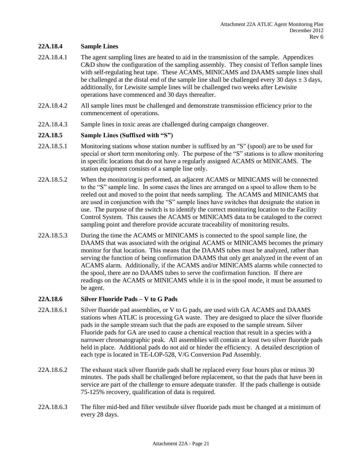#### **22A.18.4 Sample Lines**

- 22A.18.4.1 The agent sampling lines are heated to aid in the transmission of the sample. Appendices C&D show the configuration of the sampling assembly. They consist of Teflon sample lines with self-regulating heat tape. These ACAMS, MINICAMS and DAAMS sample lines shall be challenged at the distal end of the sample line shall be challenged every 30 days  $\pm$  3 days, additionally, for Lewisite sample lines will be challenged two weeks after Lewisite operations have commenced and 30 days thereafter.
- 22A.18.4.2 All sample lines must be challenged and demonstrate transmission efficiency prior to the commencement of operations.
- 22A.18.4.3 Sample lines in toxic areas are challenged during campaign changeover.

#### **22A.18.5 Sample Lines (Suffixed with "S")**

- 22A.18.5.1 Monitoring stations whose station number is suffixed by an "S" (spool) are to be used for special or short term monitoring only. The purpose of the "S" stations is to allow monitoring in specific locations that do not have a regularly assigned ACAMS or MINICAMS. The station equipment consists of a sample line only.
- 22A.18.5.2 When the monitoring is performed, an adjacent ACAMS or MINICAMS will be connected to the "S" sample line. In some cases the lines are arranged on a spool to allow them to be reeled out and moved to the point that needs sampling. The ACAMS and MINICAMS that are used in conjunction with the "S" sample lines have switches that designate the station in use. The purpose of the switch is to identify the correct monitoring location to the Facility Control System. This causes the ACAMS or MINICAMS data to be cataloged to the correct sampling point and therefore provide accurate traceability of monitoring results.
- 22A.18.5.3 During the time the ACAMS or MINICAMS is connected to the spool sample line, the DAAMS that was associated with the original ACAMS or MINICAMS becomes the primary monitor for that location. This means that the DAAMS tubes must be analyzed, rather than serving the function of being confirmation DAAMS that only get analyzed in the event of an ACAMS alarm. Additionally, if the ACAMS and/or MINICAMS alarms while connected to the spool, there are no DAAMS tubes to serve the confirmation function. If there are readings on the ACAMS or MINICAMS while it is in the spool mode, it must be assumed to be agent.

#### **22A.18.6 Silver Fluoride Pads – V to G Pads**

- 22A.18.6.1 Silver fluoride pad assemblies, or V to G pads, are used with GA ACAMS and DAAMS stations when ATLIC is processing GA waste. They are designed to place the silver fluoride pads in the sample stream such that the pads are exposed to the sample stream. Silver Fluoride pads for GA are used to cause a chemical reaction that result in a species with a narrower chromatographic peak. All assemblies will contain at least two silver fluoride pads held in place. Additional pads do not aid or hinder the efficiency. A detailed description of each type is located in TE-LOP-528, V/G Conversion Pad Assembly.
- 22A.18.6.2 The exhaust stack silver fluoride pads shall be replaced every four hours plus or minus 30 minutes. The pads shall be challenged before replacement, so that the pads that have been in service are part of the challenge to ensure adequate transfer. If the pads challenge is outside 75-125% recovery, qualification of data is required.
- 22A.18.6.3 The filter mid-bed and filter vestibule silver fluoride pads must be changed at a minimum of every 28 days.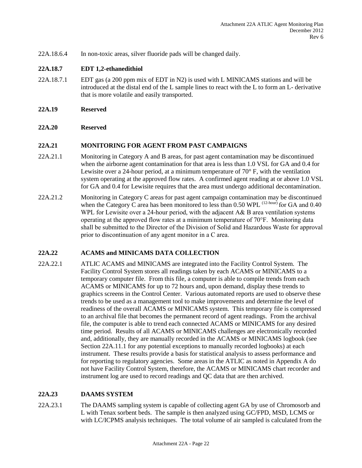22A.18.6.4 In non-toxic areas, silver fluoride pads will be changed daily.

#### **22A.18.7 EDT 1,2-ethanedithiol**

- 22A.18.7.1 EDT gas (a 200 ppm mix of EDT in N2) is used with L MINICAMS stations and will be introduced at the distal end of the L sample lines to react with the L to form an L- derivative that is more volatile and easily transported.
- **22A.19 Reserved**
- **22A.20 Reserved**

#### **22A.21 MONITORING FOR AGENT FROM PAST CAMPAIGNS**

- 22A.21.1 Monitoring in Category A and B areas, for past agent contamination may be discontinued when the airborne agent contamination for that area is less than 1.0 VSL for GA and 0.4 for Lewisite over a 24-hour period, at a minimum temperature of  $70^{\circ}$  F, with the ventilation system operating at the approved flow rates. A confirmed agent reading at or above 1.0 VSL for GA and 0.4 for Lewisite requires that the area must undergo additional decontamination.
- 22A.21.2 Monitoring in Category C areas for past agent campaign contamination may be discontinued when the Category C area has been monitored to less than  $0.50$  WPL  $^{(12\text{-}hour)}$  for GA and  $0.40$ WPL for Lewisite over a 24-hour period, with the adjacent A& B area ventilation systems operating at the approved flow rates at a minimum temperature of 70°F. Monitoring data shall be submitted to the Director of the Division of Solid and Hazardous Waste for approval prior to discontinuation of any agent monitor in a C area.

#### **22A.22 ACAMS and MINICAMS DATA COLLECTION**

22A.22.1 ATLIC ACAMS and MINICAMS are integrated into the Facility Control System. The Facility Control System stores all readings taken by each ACAMS or MINICAMS to a temporary computer file. From this file, a computer is able to compile trends from each ACAMS or MINICAMS for up to 72 hours and, upon demand, display these trends to graphics screens in the Control Center. Various automated reports are used to observe these trends to be used as a management tool to make improvements and determine the level of readiness of the overall ACAMS or MINICAMS system. This temporary file is compressed to an archival file that becomes the permanent record of agent readings. From the archival file, the computer is able to trend each connected ACAMS or MINICAMS for any desired time period. Results of all ACAMS or MINICAMS challenges are electronically recorded and, additionally, they are manually recorded in the ACAMS or MINICAMS logbook (see Section 22A.11.1 for any potential exceptions to manually recorded logbooks) at each instrument. These results provide a basis for statistical analysis to assess performance and for reporting to regulatory agencies. Some areas in the ATLIC as noted in Appendix A do not have Facility Control System, therefore, the ACAMS or MINICAMS chart recorder and instrument log are used to record readings and QC data that are then archived.

#### **22A.23 DAAMS SYSTEM**

22A.23.1 The DAAMS sampling system is capable of collecting agent GA by use of Chromosorb and L with Tenax sorbent beds. The sample is then analyzed using GC/FPD, MSD, LCMS or with LC/ICPMS analysis techniques. The total volume of air sampled is calculated from the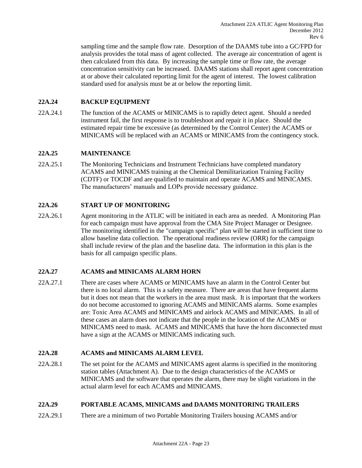sampling time and the sample flow rate. Desorption of the DAAMS tube into a GC/FPD for analysis provides the total mass of agent collected. The average air concentration of agent is then calculated from this data. By increasing the sample time or flow rate, the average concentration sensitivity can be increased. DAAMS stations shall report agent concentration at or above their calculated reporting limit for the agent of interest. The lowest calibration standard used for analysis must be at or below the reporting limit.

#### **22A.24 BACKUP EQUIPMENT**

22A.24.1 The function of the ACAMS or MINICAMS is to rapidly detect agent. Should a needed instrument fail, the first response is to troubleshoot and repair it in place. Should the estimated repair time be excessive (as determined by the Control Center) the ACAMS or MINICAMS will be replaced with an ACAMS or MINICAMS from the contingency stock.

#### **22A.25 MAINTENANCE**

22A.25.1 The Monitoring Technicians and Instrument Technicians have completed mandatory ACAMS and MINICAMS training at the Chemical Demilitarization Training Facility (CDTF) or TOCDF and are qualified to maintain and operate ACAMS and MINICAMS. The manufacturers' manuals and LOPs provide necessary guidance.

#### **22A.26 START UP OF MONITORING**

22A.26.1 Agent monitoring in the ATLIC will be initiated in each area as needed. A Monitoring Plan for each campaign must have approval from the CMA Site Project Manager or Designee. The monitoring identified in the "campaign specific" plan will be started in sufficient time to allow baseline data collection. The operational readiness review (ORR) for the campaign shall include review of the plan and the baseline data. The information in this plan is the basis for all campaign specific plans.

#### **22A.27 ACAMS and MINICAMS ALARM HORN**

22A.27.1 There are cases where ACAMS or MINICAMS have an alarm in the Control Center but there is no local alarm. This is a safety measure. There are areas that have frequent alarms but it does not mean that the workers in the area must mask. It is important that the workers do not become accustomed to ignoring ACAMS and MINICAMS alarms. Some examples are: Toxic Area ACAMS and MINICAMS and airlock ACAMS and MINICAMS. In all of these cases an alarm does not indicate that the people in the location of the ACAMS or MINICAMS need to mask. ACAMS and MINICAMS that have the horn disconnected must have a sign at the ACAMS or MINICAMS indicating such.

#### **22A.28 ACAMS and MINICAMS ALARM LEVEL**

22A.28.1 The set point for the ACAMS and MINICAMS agent alarms is specified in the monitoring station tables (Attachment A). Due to the design characteristics of the ACAMS or MINICAMS and the software that operates the alarm, there may be slight variations in the actual alarm level for each ACAMS and MINICAMS.

#### **22A.29 PORTABLE ACAMS, MINICAMS and DAAMS MONITORING TRAILERS**

22A.29.1 There are a minimum of two Portable Monitoring Trailers housing ACAMS and/or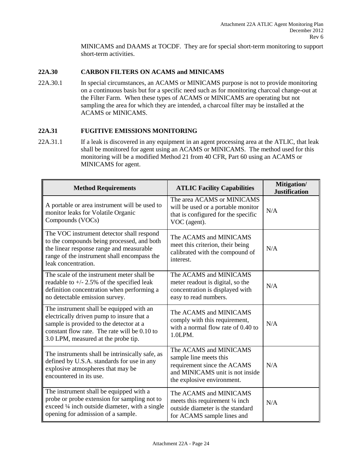MINICAMS and DAAMS at TOCDF. They are for special short-term monitoring to support short-term activities.

### **22A.30 CARBON FILTERS ON ACAMS and MINICAMS**

22A.30.1 In special circumstances, an ACAMS or MINICAMS purpose is not to provide monitoring on a continuous basis but for a specific need such as for monitoring charcoal change-out at the Filter Farm. When these types of ACAMS or MINICAMS are operating but not sampling the area for which they are intended, a charcoal filter may be installed at the ACAMS or MINICAMS.

#### **22A.31 FUGITIVE EMISSIONS MONITORING**

22A.31.1 If a leak is discovered in any equipment in an agent processing area at the ATLIC, that leak shall be monitored for agent using an ACAMS or MINICAMS. The method used for this monitoring will be a modified Method 21 from 40 CFR, Part 60 using an ACAMS or MINICAMS for agent.

| <b>Method Requirements</b>                                                                                                                                                                                              | <b>ATLIC Facility Capabilities</b>                                                                                                               | Mitigation/<br><b>Justification</b> |
|-------------------------------------------------------------------------------------------------------------------------------------------------------------------------------------------------------------------------|--------------------------------------------------------------------------------------------------------------------------------------------------|-------------------------------------|
| A portable or area instrument will be used to<br>monitor leaks for Volatile Organic<br>Compounds (VOCs)                                                                                                                 | The area ACAMS or MINICAMS<br>will be used or a portable monitor<br>that is configured for the specific<br>VOC (agent).                          | N/A                                 |
| The VOC instrument detector shall respond<br>to the compounds being processed, and both<br>the linear response range and measurable<br>range of the instrument shall encompass the<br>leak concentration.               | The ACAMS and MINICAMS<br>meet this criterion, their being<br>calibrated with the compound of<br>interest.                                       | N/A                                 |
| The scale of the instrument meter shall be<br>readable to $+/- 2.5\%$ of the specified leak<br>definition concentration when performing a<br>no detectable emission survey.                                             | The ACAMS and MINICAMS<br>meter readout is digital, so the<br>concentration is displayed with<br>easy to read numbers.                           | N/A                                 |
| The instrument shall be equipped with an<br>electrically driven pump to insure that a<br>sample is provided to the detector at a<br>constant flow rate. The rate will be 0.10 to<br>3.0 LPM, measured at the probe tip. | The ACAMS and MINICAMS<br>comply with this requirement,<br>with a normal flow rate of 0.40 to<br>1.0LPM.                                         | N/A                                 |
| The instruments shall be intrinsically safe, as<br>defined by U.S.A. standards for use in any<br>explosive atmospheres that may be<br>encountered in its use.                                                           | The ACAMS and MINICAMS<br>sample line meets this<br>requirement since the ACAMS<br>and MINICAMS unit is not inside<br>the explosive environment. | N/A                                 |
| The instrument shall be equipped with a<br>probe or probe extension for sampling not to<br>exceed 1/4 inch outside diameter, with a single<br>opening for admission of a sample.                                        | The ACAMS and MINICAMS<br>meets this requirement 1/4 inch<br>outside diameter is the standard<br>for ACAMS sample lines and                      | N/A                                 |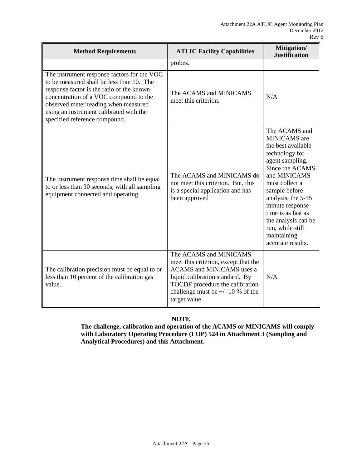| <b>Method Requirements</b>                                                                                                                                                                                                                                                                          | <b>ATLIC Facility Capabilities</b>                                                                                                                                                                                         | Mitigation/<br><b>Justification</b>                                                                                                                                                                                                                                                                                 |  |  |
|-----------------------------------------------------------------------------------------------------------------------------------------------------------------------------------------------------------------------------------------------------------------------------------------------------|----------------------------------------------------------------------------------------------------------------------------------------------------------------------------------------------------------------------------|---------------------------------------------------------------------------------------------------------------------------------------------------------------------------------------------------------------------------------------------------------------------------------------------------------------------|--|--|
|                                                                                                                                                                                                                                                                                                     | probes.                                                                                                                                                                                                                    |                                                                                                                                                                                                                                                                                                                     |  |  |
| The instrument response factors for the VOC<br>to be measured shall be less than 10. The<br>response factor is the ratio of the known<br>concentration of a VOC compound to the<br>observed meter reading when measured<br>using an instrument calibrated with the<br>specified reference compound. | The ACAMS and MINICAMS<br>meet this criterion.                                                                                                                                                                             | N/A                                                                                                                                                                                                                                                                                                                 |  |  |
| The instrument response time shall be equal<br>to or less than 30 seconds, with all sampling<br>equipment connected and operating.                                                                                                                                                                  | The ACAMS and MINICAMS do<br>not meet this criterion. But, this<br>is a special application and has<br>been approved                                                                                                       | The ACAMS and<br><b>MINICAMS</b> are<br>the best available<br>technology for<br>agent sampling.<br>Since the ACAMS<br>and MINICAMS<br>must collect a<br>sample before<br>analysis, the 5-15<br>minute response<br>time is as fast as<br>the analysis can be<br>run, while still<br>maintaining<br>accurate results. |  |  |
| The calibration precision must be equal to or<br>less than 10 percent of the calibration gas<br>value.                                                                                                                                                                                              | The ACAMS and MINICAMS<br>meet this criterion, except that the<br>ACAMS and MINICAMS uses a<br>liquid calibration standard. By<br>TOCDF procedure the calibration<br>challenge must be $+/- 10 \%$ of the<br>target value. | N/A                                                                                                                                                                                                                                                                                                                 |  |  |

### **NOTE**

**The challenge, calibration and operation of the ACAMS or MINICAMS will comply with Laboratory Operating Procedure (LOP) 524 in Attachment 3 (Sampling and Analytical Procedures) and this Attachment.**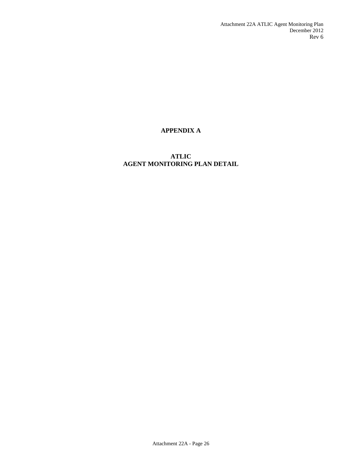## **APPENDIX A**

## **ATLIC AGENT MONITORING PLAN DETAIL**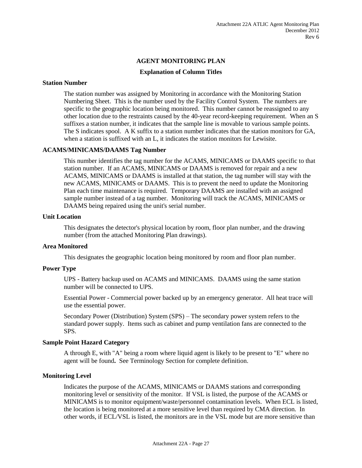#### **AGENT MONITORING PLAN**

#### **Explanation of Column Titles**

#### **Station Number**

The station number was assigned by Monitoring in accordance with the Monitoring Station Numbering Sheet. This is the number used by the Facility Control System. The numbers are specific to the geographic location being monitored. This number cannot be reassigned to any other location due to the restraints caused by the 40-year record-keeping requirement. When an S suffixes a station number, it indicates that the sample line is movable to various sample points. The S indicates spool. A K suffix to a station number indicates that the station monitors for GA, when a station is suffixed with an L, it indicates the station monitors for Lewisite.

#### **ACAMS/MINICAMS/DAAMS Tag Number**

This number identifies the tag number for the ACAMS, MINICAMS or DAAMS specific to that station number. If an ACAMS, MINICAMS or DAAMS is removed for repair and a new ACAMS, MINICAMS or DAAMS is installed at that station, the tag number will stay with the new ACAMS, MINICAMS or DAAMS. This is to prevent the need to update the Monitoring Plan each time maintenance is required. Temporary DAAMS are installed with an assigned sample number instead of a tag number. Monitoring will track the ACAMS, MINICAMS or DAAMS being repaired using the unit's serial number.

#### **Unit Location**

This designates the detector's physical location by room, floor plan number, and the drawing number (from the attached Monitoring Plan drawings).

#### **Area Monitored**

This designates the geographic location being monitored by room and floor plan number.

#### **Power Type**

UPS - Battery backup used on ACAMS and MINICAMS. DAAMS using the same station number will be connected to UPS.

Essential Power - Commercial power backed up by an emergency generator. All heat trace will use the essential power.

Secondary Power (Distribution) System (SPS) – The secondary power system refers to the standard power supply. Items such as cabinet and pump ventilation fans are connected to the SPS.

#### **Sample Point Hazard Category**

A through E, with "A" being a room where liquid agent is likely to be present to "E" where no agent will be found**.** See Terminology Section for complete definition.

#### **Monitoring Level**

Indicates the purpose of the ACAMS, MINICAMS or DAAMS stations and corresponding monitoring level or sensitivity of the monitor. If VSL is listed, the purpose of the ACAMS or MINICAMS is to monitor equipment/waste/personnel contamination levels. When ECL is listed, the location is being monitored at a more sensitive level than required by CMA direction. In other words, if ECL/VSL is listed, the monitors are in the VSL mode but are more sensitive than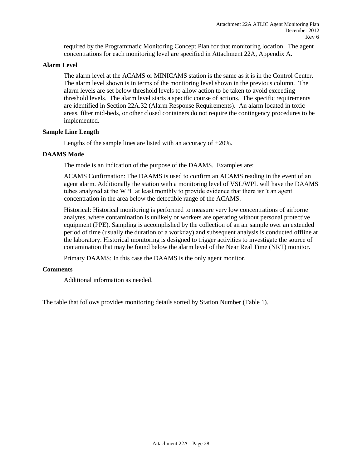required by the Programmatic Monitoring Concept Plan for that monitoring location. The agent concentrations for each monitoring level are specified in Attachment 22A, Appendix A.

#### **Alarm Level**

The alarm level at the ACAMS or MINICAMS station is the same as it is in the Control Center. The alarm level shown is in terms of the monitoring level shown in the previous column. The alarm levels are set below threshold levels to allow action to be taken to avoid exceeding threshold levels. The alarm level starts a specific course of actions. The specific requirements are identified in Section 22A.32 (Alarm Response Requirements). An alarm located in toxic areas, filter mid-beds, or other closed containers do not require the contingency procedures to be implemented.

#### **Sample Line Length**

Lengths of the sample lines are listed with an accuracy of  $\pm 20\%$ .

#### **DAAMS Mode**

The mode is an indication of the purpose of the DAAMS. Examples are:

ACAMS Confirmation: The DAAMS is used to confirm an ACAMS reading in the event of an agent alarm. Additionally the station with a monitoring level of VSL/WPL will have the DAAMS tubes analyzed at the WPL at least monthly to provide evidence that there isn't an agent concentration in the area below the detectible range of the ACAMS.

Historical: Historical monitoring is performed to measure very low concentrations of airborne analytes, where contamination is unlikely or workers are operating without personal protective equipment (PPE). Sampling is accomplished by the collection of an air sample over an extended period of time (usually the duration of a workday) and subsequent analysis is conducted offline at the laboratory. Historical monitoring is designed to trigger activities to investigate the source of contamination that may be found below the alarm level of the Near Real Time (NRT) monitor.

Primary DAAMS: In this case the DAAMS is the only agent monitor.

#### **Comments**

Additional information as needed.

The table that follows provides monitoring details sorted by Station Number (Table 1).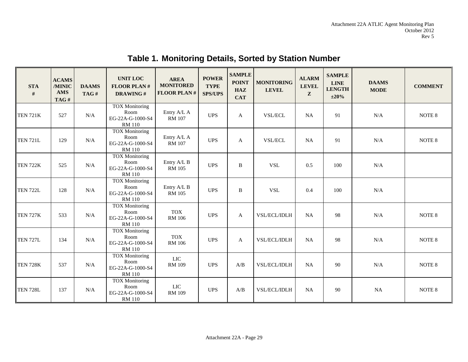| <b>STA</b><br># | <b>ACAMS</b><br>/MINIC<br><b>AMS</b><br>TAG# | <b>DAAMS</b><br>TAG# | <b>UNIT LOC</b><br><b>FLOOR PLAN#</b><br><b>DRAWING#</b>           | <b>AREA</b><br><b>MONITORED</b><br><b>FLOOR PLAN#</b> | <b>POWER</b><br><b>TYPE</b><br><b>SPS/UPS</b> | <b>SAMPLE</b><br><b>POINT</b><br><b>HAZ</b><br><b>CAT</b> | <b>MONITORING</b><br><b>LEVEL</b> | <b>ALARM</b><br><b>LEVEL</b><br>$\mathbf{z}$ | <b>SAMPLE</b><br><b>LINE</b><br><b>LENGTH</b><br>$\pm 20\%$ | <b>DAAMS</b><br><b>MODE</b> | <b>COMMENT</b>    |
|-----------------|----------------------------------------------|----------------------|--------------------------------------------------------------------|-------------------------------------------------------|-----------------------------------------------|-----------------------------------------------------------|-----------------------------------|----------------------------------------------|-------------------------------------------------------------|-----------------------------|-------------------|
| <b>TEN 721K</b> | 527                                          | N/A                  | <b>TOX Monitoring</b><br>Room<br>EG-22A-G-1000-S4<br><b>RM</b> 110 | Entry A/L A<br><b>RM 107</b>                          | <b>UPS</b>                                    | A                                                         | <b>VSL/ECL</b>                    | NA                                           | 91                                                          | N/A                         | NOTE 8            |
| <b>TEN 721L</b> | 129                                          | N/A                  | <b>TOX Monitoring</b><br>Room<br>EG-22A-G-1000-S4<br><b>RM</b> 110 | Entry A/L A<br><b>RM</b> 107                          | <b>UPS</b>                                    | A                                                         | <b>VSL/ECL</b>                    | NA                                           | 91                                                          | N/A                         | NOTE 8            |
| <b>TEN 722K</b> | 525                                          | N/A                  | <b>TOX</b> Monitoring<br>Room<br>EG-22A-G-1000-S4<br><b>RM</b> 110 | Entry A/L B<br><b>RM 105</b>                          | <b>UPS</b>                                    | $\, {\bf B}$                                              | <b>VSL</b>                        | 0.5                                          | 100                                                         | N/A                         |                   |
| <b>TEN 722L</b> | 128                                          | N/A                  | <b>TOX Monitoring</b><br>Room<br>EG-22A-G-1000-S4<br><b>RM</b> 110 | Entry A/L B<br><b>RM 105</b>                          | <b>UPS</b>                                    | B                                                         | <b>VSL</b>                        | 0.4                                          | 100                                                         | N/A                         |                   |
| <b>TEN 727K</b> | 533                                          | N/A                  | <b>TOX</b> Monitoring<br>Room<br>EG-22A-G-1000-S4<br><b>RM</b> 110 | <b>TOX</b><br><b>RM</b> 106                           | <b>UPS</b>                                    | $\mathbf{A}$                                              | <b>VSL/ECL/IDLH</b>               | NA                                           | 98                                                          | N/A                         | NOTE 8            |
| <b>TEN 727L</b> | 134                                          | N/A                  | <b>TOX</b> Monitoring<br>Room<br>EG-22A-G-1000-S4<br><b>RM</b> 110 | <b>TOX</b><br><b>RM 106</b>                           | <b>UPS</b>                                    | $\mathbf{A}$                                              | <b>VSL/ECL/IDLH</b>               | NA                                           | 98                                                          | N/A                         | NOTE 8            |
| <b>TEN 728K</b> | 537                                          | N/A                  | <b>TOX Monitoring</b><br>Room<br>EG-22A-G-1000-S4<br><b>RM</b> 110 | <b>LIC</b><br><b>RM 109</b>                           | <b>UPS</b>                                    | A/B                                                       | <b>VSL/ECL/IDLH</b>               | NA                                           | 90                                                          | N/A                         | NOTE <sub>8</sub> |
| TEN 728L        | 137                                          | N/A                  | <b>TOX</b> Monitoring<br>Room<br>EG-22A-G-1000-S4<br><b>RM 110</b> | LIC<br><b>RM 109</b>                                  | <b>UPS</b>                                    | A/B                                                       | <b>VSL/ECL/IDLH</b>               | <b>NA</b>                                    | 90                                                          | <b>NA</b>                   | NOTE 8            |

# **Table 1. Monitoring Details, Sorted by Station Number**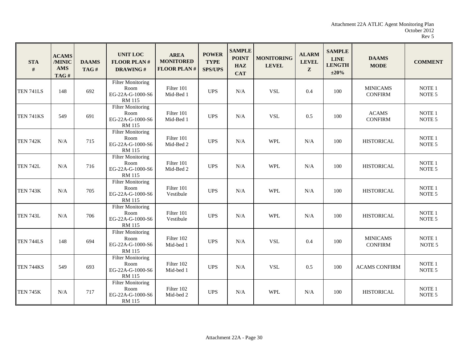| <b>STA</b><br>#  | <b>ACAMS</b><br>/MINIC<br><b>AMS</b><br>TAG# | <b>DAAMS</b><br>TAG# | <b>UNIT LOC</b><br><b>FLOOR PLAN#</b><br><b>DRAWING#</b>              | <b>AREA</b><br><b>MONITORED</b><br><b>FLOOR PLAN#</b> | <b>POWER</b><br><b>TYPE</b><br><b>SPS/UPS</b> | <b>SAMPLE</b><br><b>POINT</b><br><b>HAZ</b><br><b>CAT</b> | <b>MONITORING</b><br><b>LEVEL</b> | <b>ALARM</b><br><b>LEVEL</b><br>$\mathbf{Z}$ | <b>SAMPLE</b><br><b>LINE</b><br><b>LENGTH</b><br>$\pm 20\%$ | <b>DAAMS</b><br><b>MODE</b>       | <b>COMMENT</b>              |
|------------------|----------------------------------------------|----------------------|-----------------------------------------------------------------------|-------------------------------------------------------|-----------------------------------------------|-----------------------------------------------------------|-----------------------------------|----------------------------------------------|-------------------------------------------------------------|-----------------------------------|-----------------------------|
| <b>TEN 741LS</b> | 148                                          | 692                  | <b>Filter Monitoring</b><br>Room<br>EG-22A-G-1000-S6<br><b>RM 115</b> | Filter 101<br>Mid-Bed 1                               | <b>UPS</b>                                    | N/A                                                       | <b>VSL</b>                        | 0.4                                          | 100                                                         | <b>MINICAMS</b><br><b>CONFIRM</b> | NOTE <sub>1</sub><br>NOTE 5 |
| <b>TEN 741KS</b> | 549                                          | 691                  | <b>Filter Monitoring</b><br>Room<br>EG-22A-G-1000-S6<br><b>RM 115</b> | Filter 101<br>Mid-Bed 1                               | <b>UPS</b>                                    | N/A                                                       | <b>VSL</b>                        | 0.5                                          | 100                                                         | <b>ACAMS</b><br><b>CONFIRM</b>    | NOTE <sub>1</sub><br>NOTE 5 |
| <b>TEN 742K</b>  | N/A                                          | 715                  | <b>Filter Monitoring</b><br>Room<br>EG-22A-G-1000-S6<br><b>RM 115</b> | Filter 101<br>Mid-Bed 2                               | <b>UPS</b>                                    | N/A                                                       | <b>WPL</b>                        | N/A                                          | 100                                                         | <b>HISTORICAL</b>                 | NOTE 1<br>NOTE 5            |
| <b>TEN 742L</b>  | N/A                                          | 716                  | <b>Filter Monitoring</b><br>Room<br>EG-22A-G-1000-S6<br><b>RM 115</b> | Filter 101<br>Mid-Bed 2                               | <b>UPS</b>                                    | N/A                                                       | <b>WPL</b>                        | N/A                                          | 100                                                         | <b>HISTORICAL</b>                 | NOTE 1<br>NOTE <sub>5</sub> |
| <b>TEN 743K</b>  | N/A                                          | 705                  | <b>Filter Monitoring</b><br>Room<br>EG-22A-G-1000-S6<br><b>RM 115</b> | Filter 101<br>Vestibule                               | <b>UPS</b>                                    | N/A                                                       | <b>WPL</b>                        | N/A                                          | 100                                                         | <b>HISTORICAL</b>                 | NOTE 1<br>NOTE <sub>5</sub> |
| <b>TEN 743L</b>  | N/A                                          | 706                  | <b>Filter Monitoring</b><br>Room<br>EG-22A-G-1000-S6<br>RM 115        | Filter 101<br>Vestibule                               | <b>UPS</b>                                    | N/A                                                       | <b>WPL</b>                        | N/A                                          | 100                                                         | <b>HISTORICAL</b>                 | NOTE <sub>1</sub><br>NOTE 5 |
| TEN 744LS        | 148                                          | 694                  | <b>Filter Monitoring</b><br>Room<br>EG-22A-G-1000-S6<br><b>RM 115</b> | Filter 102<br>Mid-bed 1                               | <b>UPS</b>                                    | N/A                                                       | <b>VSL</b>                        | 0.4                                          | 100                                                         | <b>MINICAMS</b><br><b>CONFIRM</b> | NOTE <sub>1</sub><br>NOTE 5 |
| <b>TEN 744KS</b> | 549                                          | 693                  | <b>Filter Monitoring</b><br>Room<br>EG-22A-G-1000-S6<br><b>RM 115</b> | Filter 102<br>Mid-bed 1                               | <b>UPS</b>                                    | N/A                                                       | <b>VSL</b>                        | 0.5                                          | 100                                                         | <b>ACAMS CONFIRM</b>              | NOTE <sub>1</sub><br>NOTE 5 |
| <b>TEN 745K</b>  | N/A                                          | 717                  | <b>Filter Monitoring</b><br>Room<br>EG-22A-G-1000-S6<br>RM 115        | Filter 102<br>Mid-bed 2                               | <b>UPS</b>                                    | N/A                                                       | <b>WPL</b>                        | N/A                                          | 100                                                         | <b>HISTORICAL</b>                 | NOTE 1<br>NOTE <sub>5</sub> |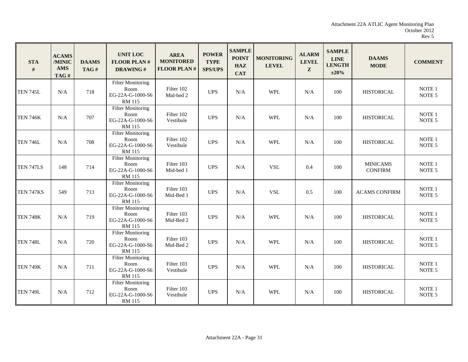| <b>STA</b><br># | <b>ACAMS</b><br>/MINIC<br><b>AMS</b><br>TAG# | <b>DAAMS</b><br>TAG# | <b>UNIT LOC</b><br><b>FLOOR PLAN#</b><br><b>DRAWING#</b>              | <b>AREA</b><br><b>MONITORED</b><br><b>FLOOR PLAN#</b> | <b>POWER</b><br><b>TYPE</b><br><b>SPS/UPS</b> | <b>SAMPLE</b><br><b>POINT</b><br><b>HAZ</b><br><b>CAT</b> | <b>MONITORING</b><br><b>LEVEL</b> | <b>ALARM</b><br><b>LEVEL</b><br>Z | <b>SAMPLE</b><br><b>LINE</b><br><b>LENGTH</b><br>$\pm 20\%$ | <b>DAAMS</b><br><b>MODE</b>       | <b>COMMENT</b>                         |
|-----------------|----------------------------------------------|----------------------|-----------------------------------------------------------------------|-------------------------------------------------------|-----------------------------------------------|-----------------------------------------------------------|-----------------------------------|-----------------------------------|-------------------------------------------------------------|-----------------------------------|----------------------------------------|
| <b>TEN 745L</b> | N/A                                          | 718                  | <b>Filter Monitoring</b><br>Room<br>EG-22A-G-1000-S6<br>RM 115        | Filter 102<br>Mid-bed 2                               | <b>UPS</b>                                    | N/A                                                       | <b>WPL</b>                        | N/A                               | 100                                                         | <b>HISTORICAL</b>                 | NOTE <sub>1</sub><br>NOTE <sub>5</sub> |
| <b>TEN 746K</b> | N/A                                          | 707                  | <b>Filter Monitoring</b><br>Room<br>EG-22A-G-1000-S6<br><b>RM 115</b> | Filter 102<br>Vestibule                               | <b>UPS</b>                                    | N/A                                                       | <b>WPL</b>                        | N/A                               | 100                                                         | <b>HISTORICAL</b>                 | NOTE <sub>1</sub><br>NOTE <sub>5</sub> |
| <b>TEN 746L</b> | N/A                                          | 708                  | Filter Monitoring<br>Room<br>EG-22A-G-1000-S6<br><b>RM 115</b>        | Filter 102<br>Vestibule                               | <b>UPS</b>                                    | N/A                                                       | <b>WPL</b>                        | N/A                               | 100                                                         | <b>HISTORICAL</b>                 | NOTE <sub>1</sub><br>NOTE 5            |
| TEN 747LS       | 148                                          | 714                  | <b>Filter Monitoring</b><br>Room<br>EG-22A-G-1000-S6<br><b>RM</b> 115 | Filter 103<br>Mid-bed 1                               | <b>UPS</b>                                    | N/A                                                       | <b>VSL</b>                        | 0.4                               | 100                                                         | <b>MINICAMS</b><br><b>CONFIRM</b> | NOTE <sub>1</sub><br>NOTE 5            |
| TEN 747KS       | 549                                          | 713                  | <b>Filter Monitoring</b><br>Room<br>EG-22A-G-1000-S6<br><b>RM 115</b> | Filter 103<br>Mid-Bed 1                               | <b>UPS</b>                                    | N/A                                                       | <b>VSL</b>                        | 0.5                               | 100                                                         | <b>ACAMS CONFIRM</b>              | NOTE <sub>1</sub><br>NOTE <sub>5</sub> |
| <b>TEN 748K</b> | N/A                                          | 719                  | Filter Monitoring<br>Room<br>EG-22A-G-1000-S6<br><b>RM 115</b>        | Filter 103<br>Mid-Bed 2                               | <b>UPS</b>                                    | N/A                                                       | <b>WPL</b>                        | N/A                               | 100                                                         | <b>HISTORICAL</b>                 | NOTE <sub>1</sub><br>NOTE 5            |
| <b>TEN 748L</b> | N/A                                          | 720                  | <b>Filter Monitoring</b><br>Room<br>EG-22A-G-1000-S6<br><b>RM 115</b> | Filter 103<br>Mid-Bed 2                               | <b>UPS</b>                                    | N/A                                                       | <b>WPL</b>                        | N/A                               | 100                                                         | <b>HISTORICAL</b>                 | NOTE 1<br>NOTE <sub>5</sub>            |
| <b>TEN 749K</b> | N/A                                          | 711                  | <b>Filter Monitoring</b><br>Room<br>EG-22A-G-1000-S6<br><b>RM 115</b> | Filter 103<br>Vestibule                               | <b>UPS</b>                                    | N/A                                                       | <b>WPL</b>                        | N/A                               | 100                                                         | <b>HISTORICAL</b>                 | NOTE 1<br>NOTE 5                       |
| <b>TEN 749L</b> | N/A                                          | 712                  | <b>Filter Monitoring</b><br>Room<br>EG-22A-G-1000-S6<br><b>RM 115</b> | Filter 103<br>Vestibule                               | <b>UPS</b>                                    | N/A                                                       | <b>WPL</b>                        | N/A                               | 100                                                         | <b>HISTORICAL</b>                 | NOTE <sub>1</sub><br>NOTE <sub>5</sub> |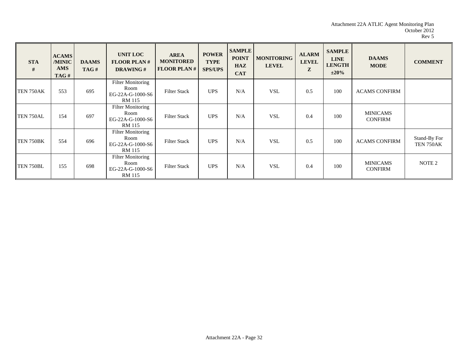| <b>STA</b><br># | <b>ACAMS</b><br>/MINIC<br><b>AMS</b><br>TAG# | <b>DAAMS</b><br>TAG# | <b>UNIT LOC</b><br><b>FLOOR PLAN#</b><br><b>DRAWING#</b>       | <b>AREA</b><br><b>MONITORED</b><br><b>FLOOR PLAN#</b> | <b>POWER</b><br><b>TYPE</b><br><b>SPS/UPS</b> | <b>SAMPLE</b><br><b>POINT</b><br><b>HAZ</b><br><b>CAT</b> | <b>MONITORING</b><br><b>LEVEL</b> | <b>ALARM</b><br><b>LEVEL</b><br>Z | <b>SAMPLE</b><br><b>LINE</b><br><b>LENGTH</b><br>$\pm 20\%$ | <b>DAAMS</b><br><b>MODE</b>       | <b>COMMENT</b>            |
|-----------------|----------------------------------------------|----------------------|----------------------------------------------------------------|-------------------------------------------------------|-----------------------------------------------|-----------------------------------------------------------|-----------------------------------|-----------------------------------|-------------------------------------------------------------|-----------------------------------|---------------------------|
| TEN 750AK       | 553                                          | 695                  | <b>Filter Monitoring</b><br>Room<br>EG-22A-G-1000-S6<br>RM 115 | <b>Filter Stack</b>                                   | <b>UPS</b>                                    | N/A                                                       | <b>VSL</b>                        | 0.5                               | 100                                                         | <b>ACAMS CONFIRM</b>              |                           |
| TEN 750AL       | 154                                          | 697                  | <b>Filter Monitoring</b><br>Room<br>EG-22A-G-1000-S6<br>RM 115 | <b>Filter Stack</b>                                   | <b>UPS</b>                                    | N/A                                                       | <b>VSL</b>                        | 0.4                               | 100                                                         | <b>MINICAMS</b><br><b>CONFIRM</b> |                           |
| TEN 750BK       | 554                                          | 696                  | <b>Filter Monitoring</b><br>Room<br>EG-22A-G-1000-S6<br>RM 115 | <b>Filter Stack</b>                                   | <b>UPS</b>                                    | N/A                                                       | <b>VSL</b>                        | 0.5                               | 100                                                         | <b>ACAMS CONFIRM</b>              | Stand-By For<br>TEN 750AK |
| TEN 750BL       | 155                                          | 698                  | <b>Filter Monitoring</b><br>Room<br>EG-22A-G-1000-S6<br>RM 115 | <b>Filter Stack</b>                                   | <b>UPS</b>                                    | N/A                                                       | <b>VSL</b>                        | 0.4                               | 100                                                         | <b>MINICAMS</b><br><b>CONFIRM</b> | NOTE <sub>2</sub>         |